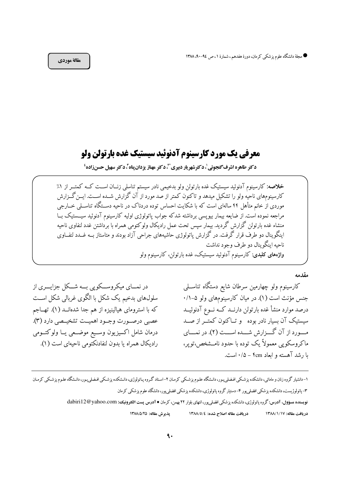• مجلهٔ دانشگاه علوم یز شکی کرمان، دورهٔ هفدهم ، شمارهٔ ۱ ، ص ۹٤-۹۰، ۱۳۸۸

#### مقالة موردي

# معرفي يک مورد کارسينوم آدنوئيد سيستيک غده بارتولن ولو

د کتر طاهره اشرف گنجوئي ، د کتر شهر يار ديپري ؓ ، د کتر مهناز پزدان بناه ، د کتر سهيل حسن زاده ٔ

**خلاصه**: کارسینوم آدنوئید سیستیک غده بارتولن ولو بدخیمی نادر سیستم تناسلی زنــان اســت کــه کمتــر از ۱٪ کارسینومهای ناحیه ولو را تشکیل میدهد و تاکنون کمتر از صد مورد از آن گزارش شــده اســت. ایــن گــزارش موردی از خانم متأهل ۴۴ سالهای است که با شکایت احساس توده دردناک در ناحیه دســتگاه تناســلی خــارجی مراجعه نموده است. از ضایعه بیمار بیویسی برداشته شدکه جواب پاتولوژی اولیه کارسینوم آدنوئید سیــستیک بــا منشاء غده بارتولن گزارش گردید. بیمار سیس تحت عمل رادیکال ولوکتومی همراه با برداشتن غدد لنفاوی ناحیه اینگوینال دو طرف قرار گرفت. در گزارش پاتولوژی حاشیههای جراحی آزاد بودند و متاستاز بــه غــدد لنفــاوی ناحیه اینگوینال دو طرف وجود نداشت واژههای کلیدی: کارسینوم آدنوئید سیستیک، غده بارتولن، کارسینوم ولو

مقدمه

در نمــاي ميكروســكويي بــه شــكل جزايــري از سلولهای بدخیم یک شکل با الگوی غربالی شکل اســت که با استرومای هیالینیزه از هم جدا شدهانــد (۱). تهــاجم عصبي درصورت وجـود اهميــت تشخيــصي دارد (٣). درمان شامل اكسيزيون وسـيع موضـعي يــا ولوكتــومي راديكال همراه يا بدون لنفادنكتومي ناحيهاي است (١). کارسینوم ولو چهارمین سرطان شایع دستگاه تناســلی جنس مؤنث است (۱). در میان کارسینومهای ولو ۵–۰/۱ درصد موارد منشأ غده بارتولن دارنــد کــه نــوع آدنوئيــد سیستیک آن بسیار نادر بوده و تــاکنون کمتــر از صــد مـــورد از آن گـــزارش شـــده اســـت (۲). در نمـــای ماکروسکویی معمولاً یک توده با حدود نامشخص،تویر، با رشد آهسته و ابعاد fcm - ۰/۵ است.

۱–دانشیار گروه زنان و مامائی، دانشکده یزشکی افضلی پیور، دانـشگاه علیوم یزشکی کرمان ۲–استاد گروه یاتولوژی، دانسلکی افضلی پیور، دانـشگاه علیوم یزشکی کرمـان ۳- یاتولوژیست، دانشکده یزشکی افضلی یور ۴- دستیار گروه یاتولوژی، دانشکده یزشکی افضلی یور، دانشگاه علوم یزشکی کرمان نویسنده مسؤول، آدرس:گروه یاتولوژی، دانشکده یزشکی افضلی پور، انتهای بلوار ۲۲ بهمن، کرمان • آدرس یست الکترونیک: dabiri12@yahoo.com دريافت مقاله اصلاح شده: ١٣٨٨/٥/٤ يذيرش مقاله: ١٣٨٨/٥/٢٥ دريافت مقاله: ١٣٨٨/١/١٨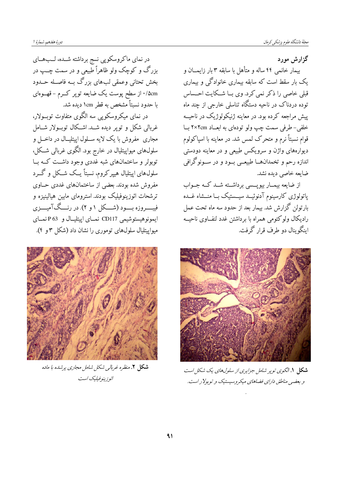گزارش مورد

بیمار خانمی ۴۴ ساله و متأهل با سابقه ۳ بار زایمــان و یک بار سقط است که سابقه بیماری خانوادگی و بیماری قبلی خاصی را ذکر نمی کرد. وی بــا شــکایت احــساس توده دردناک در ناحیه دستگاه تناسلی خارجی از چند ماه پیش مراجعه کرده بود. در معاینه ژنیکولوژیک در ناحیــه خلفي- طرفي سمت چپ ولو تودهاي به ابعــاد ٢×٢cm بــا قوام نسبتاً نرم و متحرک لمس شد. در معاینه با اسپاکولوم دیوارههای واژن و سرویکس طبیعی و در معاینه دودستی اندازه رحم و تخمدانهــا طبیعــی بــود و در ســونوگرافی ضایعه خاصی دیده نشد.

از ضایعه بیمــار بیویــسی برداشــته شــد کــه جــواب یاتولوژی کارسینوم آدنوئیــد سیــستیک بــا منــشاء غــده بارتولن گزارش شد. بیمار بعد از حدود سه ماه تحت عمل راديكال ولوكتومي همراه با برداشتن غدد لنفIوي ناحيــه ابنگوپنال دو طرف قرار گرفت.



شکل ۱. الگوی توپر شامل جزایری از سلولهای یک شکل است و بعضبی مناطق دارای فضاهای میکروسیستیک و توبولار است.

در نمای ماکروسکوپی نسج برداشته شــده، لــبهــای بزرگ و کوچک ولو ظاهراً طبیعی و در سمت چــپ در بخش تحتانی وعمقی لبهای بزرگ بــه فاصــله حــدود .<br>۰/۵cm از سطح پوست یک ضایعه توپر کــرم – قهــوهای با حدود نسبتاً مشخص به قطر ۱cm دیده شد.

در نمای میکروسکویی سه الگوی متفاوت توبــولار، غربالی شکل و تویر دیده شــد. اشــکال توبــولار شــامل مجاری ًمفروش با یک لایه ســلول اییتلیــال در داخــل و سلولهای میواپیتلیال در خارج بود. الگوی غربالی شــکل، توبولر و ساختمانهای شبه غددی وجود داشت کـه بـا سلولهای اپیتلیال هیپرکروم، نسبتاً یــک شــکل و گــرد مفروش شده بودند. بعضی از ساختمانهای غددی حــاوی ترشحات ائوزینوفیلیک بودند. استرومای مابین هیالینیزه و فیبـــــروزه بـــــود (شــــکل ۱ و ۲). در رنـــگ آمیـــــزی ايمونوهيستوشيمي CD117 نمـاي اييتليــال و P 63 نمــاي میواییتلیال سلولهای توموری را نشان داد (شکل ۳ و ۴).



شکل ۲. منظره غربال<sub>ی</sub> شکل شامل مجاری پرشده با ماده ائو زېنو فېلېک است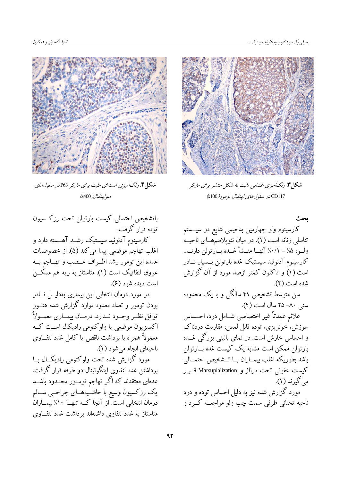

**شکل ۴.** رنگ آمیزی هسته *ای مثبت برای مار*کر P63 در سل*ولهای* ميواييتلي*ال(*x400)

باتشخیص احتمالی کیست بارتولن تحت رزكسیون توده قرار گرفت. کارسینوم آدنوئید سیستیک رشــد آهــسته دارد و اغلب تھاجم موضعی پیدا میکند (۵). از خصوصیات عمده این تومور رشد اطــراف عــصب و تهــاجم بــه عروق لنفاتيک است (۱). متاستاز به ريه هم ممکــن است ديده شود (۶).

در مورد درمان انتخابی این بیماری بهدلیــل نــادر بودن تومور و تعداد معدود موارد گزارش شده هنــوز توافق نظـر وجـود نــدارد. درمــان بيمــاري معمــولاً اکسیزیون موضعی یا ولوکتومی رادیکال است کـه معمولاً همراه با برداشت ناقص یا کامل غدد لنفــاوی ناحيهاي انجام مي شود (١).

مورد گزارش شده تحت ولوکتومی رادیکـال بــا برداشتن غدد لنفاوی اینگوئینال دو طرّفه قرار گرفت. عدهای معتقدند که اگر تهاجم تومــور محــدود باشــد یک رزکسیون وسیع با حاشـیههــای جراحــی ســالم درمان انتخابی است. از آنجا کــه تنهــا ۱۰٪ بیمــارانٰ متاستاز به غدد لنفاوى داشتهاند برداشت غدد لنف|وى



**شکل ۳**. رنگآمیزی غشای<sub>عی</sub> مثبت به شکل متشیر برا*ی ما*رکر CD117 در سل*ول های ایپتلیال تومور (* 100%)

کارسینوم ولو چهارمین بدخیمی شایع در سیسستم تناسلی زنانه است (۱). در میان نئو پلاسمهـای ناحیــه ولـو، ۵٪ – ۰/۱٪ آنهــا منــشأ غــده بــارتولن دارنــد. کارسینوم آدنوئید سیستیک غده بارتولن بــسیار نــادر است (۱) و تاکنون کمتر ازصد مورد از آن گزارش شده است (٢). سن متوسط تشخیص ۴۹ سالگی و با یک محدوده سنی ۸۰– ۲۵ سال است (۴). علائم عمدتاً غیر اختصاصی شــامل درد، احــساس سوزش، خونریزی، توده قابل لمس، مقاربت دردناک و احساس خارش است. در نمای بالینی بزرگی غــده بارتولن ممکن است مشابه یک کیست غده بــارتولن باشد بطوريكه اغلب بيمــاران بــا تــشخيص احتمــالى كيست عفوني تحت درناژ و Marsupialization قــرار

مي گيرند (١). مورد گزارش شده نیز به دلیل احساس توده و درد ناحيه تحتاني طرفي سمت چپ ولو مراجعــه كــرد و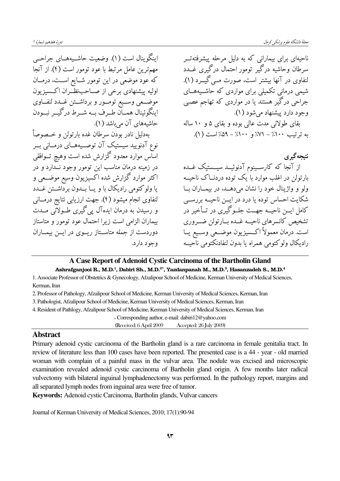اینگوینال است (۱). وضعیت حاشـیههــای جراحــی ناحیهای برای بیمارانی که به دلیل مرحله پیشرفتهتــر سرطان وحاشیه درگیر تومور احتمال درگیری غــدد مهم ترين عامل مرتبط با عود تومور است (۴). از آنجا لنفاوی در آنها بیشتر است، صورت مـبی گیـــرد (۱). که عود موضعی در این تومور شـایع اسـت، درمـان شیمی درمانی تکمیلی برای مواردی که حاشــیههــای اوليه پيشنهادي برخي از صــاحبنظـران اکــسيزيون موضـعي وســيع تومــور و برداشــتن غــدد لنفــاوى جراحی درگیر هستند یا در مواردی که تهاجم عصبی اینگوئینال همــان طــرف بــه شــرط درگیــر نبــودن وجود دارد پیشنهاد می شود (۱). حاشیههای آن می باشد (۱). بقای طولانی مدت عالی بوده و بقای ۵ و ۱۰ ساله بهدليل نادر بودن سرطان غده بارتولن و خـصوصاً به ترتیب ۰۰۱٪ – ۷۱٪ و ۰۰۱٪ – ۵۹٪ است (۱). نوع آدنویید سیستیک آن توصـیههــای درمــانی بــر ۔<br>اساس موارد معدود گزارش شدہ است وہیچ تــوافقی نتىحەگىرى در زمینه درمان مناسب این تومور وجود نــدارد و در از آنجا که کارسـینوم آدنوئیــد سیــستیک غــده اکثر موارد گزارش شده اکسیزیون وسیع موضـعی و بارتولن در اغلب موارد با یک توده دردنساک ناحسه ولو و واژینال خود را نشان می دهــد، در بیمــاران بــا يا ولوكتومي راديكال با و يــا بــدون برداشــتن غــدد لنفاوی انجام میشود (۴). جهت ارزیابی نتایج درمــانی شکایت احساس توده یا درد در ایـــن ناحیـــه بررســـی و رسیدن به درمان ایدهآل یی گیری طــولانی مــدت کامل این ناحیـه جهـت جلبوگیری در تــأخیر در تشخيص كانسرهاي ناحيــه غــده بــارتولن ضــروري بیماران الزامی است زیرا احتمال عود تومور و متاستاز است. درمان معمولاً اکــسیزیون موضــعی وســیع یــا دوردست از جمله متاســتاز ریــوی در ایــن بیمــاران رادیکال ولو کتومی همراه با بدون لنفادنکتومی ناحب وجود دارد.

## A Case Report of Adenoid Cystic Carcinoma of the Bartholin Gland

Ashrafganjooi R., M.D.<sup>1</sup>, Dabiri Sh., M.D.<sup>2\*</sup>, Yazdanpanah M., M.D.<sup>3</sup>, Hasanzadeh S., M.D.<sup>4</sup>

1. Associate Professor of Obstetrics & Gynecology, Afzalipour School of Medicine, Kerman University of Medical Sciences, Kerman, Iran

2. Professor of Pathology, Afzalipour School of Medicine, Kerman University of Medical Sciences, Kerman, Iran

3. Pathologist, Afzalipour School of Medicine, Kerman University of Medical Sciences, Kerman, Iran

4. Resident of Pathlogy, Afzalipour School of Medicine, Kerman University of Medical Sciences, Kerman, Iran

\* Corresponding author, e-mail: dabiri12@yahoo.com

(Received: 6 April 2009 Accepted: 26 July 2009)

#### **Abstract**

Primary adenoid cystic carcinoma of the Bartholin gland is a rare carcinoma in female genitalia tract. In review of literature less than 100 cases have been reported. The presented case is a 44 - year - old married woman with complain of a painful mass in the vulvar area. The nodule was excised and microscopic examination revealed adenoid cystic carcinoma of Bartholin gland origin. A few months later radical vulvectomy with bilateral inguinal lymphadenectomy was performed. In the pathology report, margins and all separated lymph nodes from inguinal area were free of tumor.

Keywords: Adenoid cystic Carcinoma, Bartholin glands, Vulvar cancers

Journal of Kerman University of Medical Sciences, 2010; 17(1):90-94